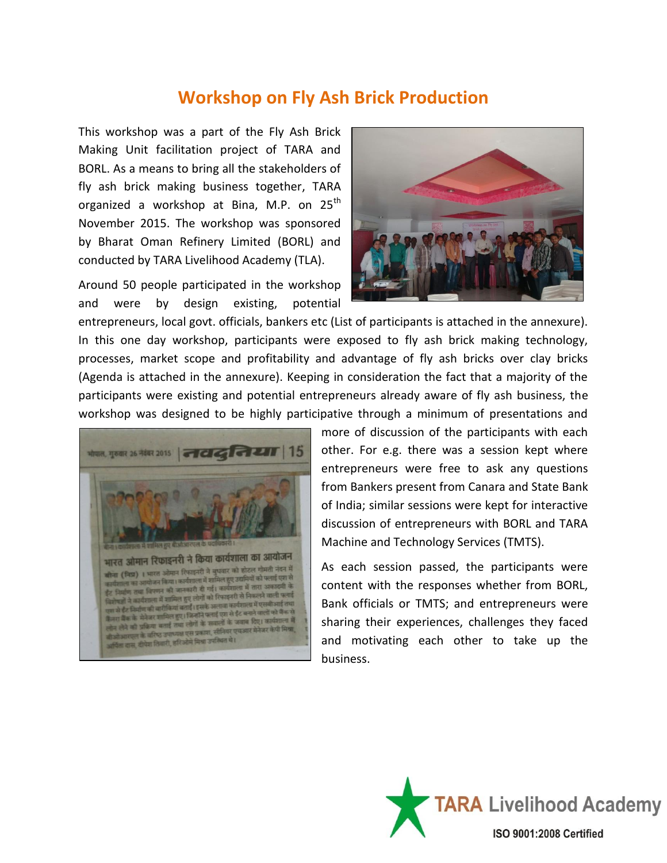## **Workshop on Fly Ash Brick Production**

This workshop was a part of the Fly Ash Brick Making Unit facilitation project of TARA and BORL. As a means to bring all the stakeholders of fly ash brick making business together, TARA organized a workshop at Bina, M.P. on  $25<sup>th</sup>$ November 2015. The workshop was sponsored by Bharat Oman Refinery Limited (BORL) and conducted by TARA Livelihood Academy (TLA).

Around 50 people participated in the workshop and were by design existing, potential



entrepreneurs, local govt. officials, bankers etc (List of participants is attached in the annexure). In this one day workshop, participants were exposed to fly ash brick making technology, processes, market scope and profitability and advantage of fly ash bricks over clay bricks (Agenda is attached in the annexure). Keeping in consideration the fact that a majority of the participants were existing and potential entrepreneurs already aware of fly ash business, the workshop was designed to be highly participative through a minimum of presentations and



more of discussion of the participants with each other. For e.g. there was a session kept where entrepreneurs were free to ask any questions from Bankers present from Canara and State Bank of India; similar sessions were kept for interactive discussion of entrepreneurs with BORL and TARA Machine and Technology Services (TMTS).

As each session passed, the participants were content with the responses whether from BORL, Bank officials or TMTS; and entrepreneurs were sharing their experiences, challenges they faced and motivating each other to take up the business.